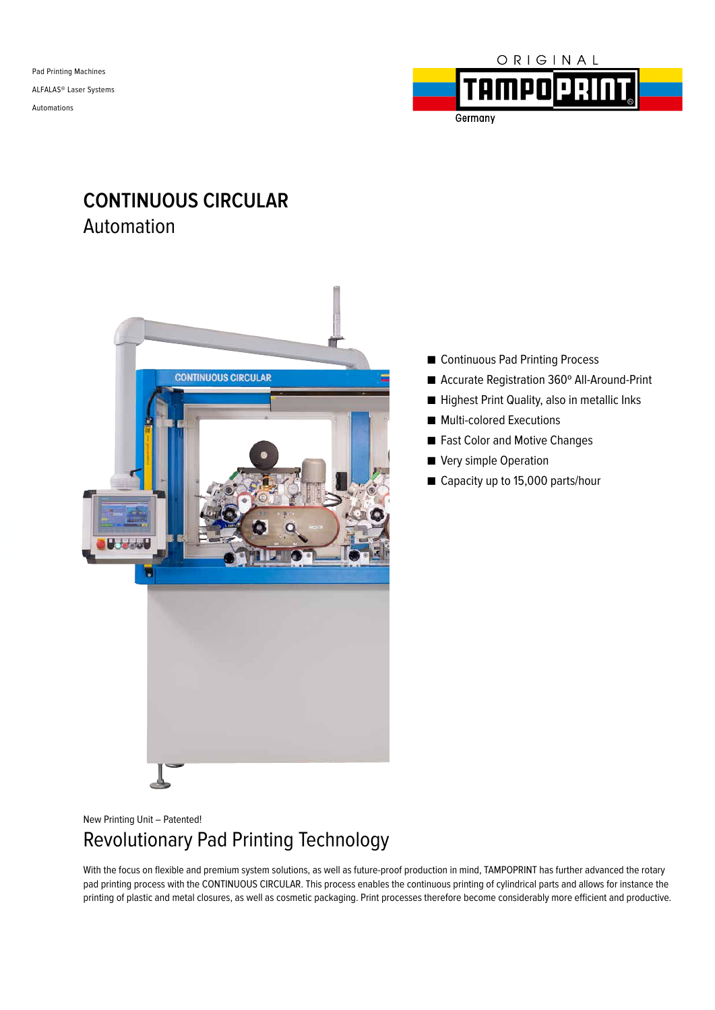Pad Printing Machines ALFALAS® Laser Systems Automations



Germany

## **CONTINUOUS CIRCULAR** Automation



- Continuous Pad Printing Process
- Accurate Registration 360° All-Around-Print
- Highest Print Quality, also in metallic Inks
- Multi-colored Executions
- Fast Color and Motive Changes
- Very simple Operation
- Capacity up to 15,000 parts/hour

New Printing Unit – Patented!

# Revolutionary Pad Printing Technology

With the focus on flexible and premium system solutions, as well as future-proof production in mind, TAMPOPRINT has further advanced the rotary pad printing process with the CONTINUOUS CIRCULAR. This process enables the continuous printing of cylindrical parts and allows for instance the printing of plastic and metal closures, as well as cosmetic packaging. Print processes therefore become considerably more efficient and productive.